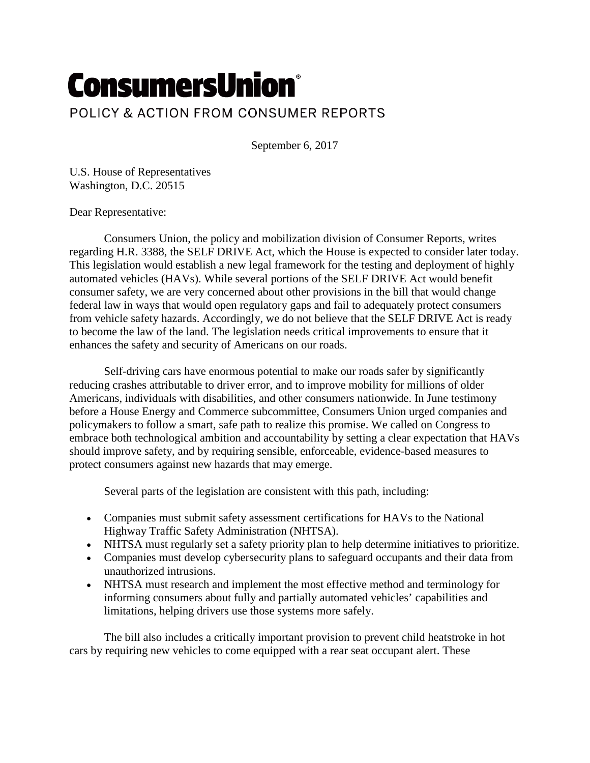## **ConsumersUnion®** POLICY & ACTION FROM CONSUMER REPORTS

September 6, 2017

U.S. House of Representatives Washington, D.C. 20515

Dear Representative:

Consumers Union, the policy and mobilization division of Consumer Reports, writes regarding H.R. 3388, the SELF DRIVE Act, which the House is expected to consider later today. This legislation would establish a new legal framework for the testing and deployment of highly automated vehicles (HAVs). While several portions of the SELF DRIVE Act would benefit consumer safety, we are very concerned about other provisions in the bill that would change federal law in ways that would open regulatory gaps and fail to adequately protect consumers from vehicle safety hazards. Accordingly, we do not believe that the SELF DRIVE Act is ready to become the law of the land. The legislation needs critical improvements to ensure that it enhances the safety and security of Americans on our roads.

Self-driving cars have enormous potential to make our roads safer by significantly reducing crashes attributable to driver error, and to improve mobility for millions of older Americans, individuals with disabilities, and other consumers nationwide. In June testimony before a House Energy and Commerce subcommittee, Consumers Union urged companies and policymakers to follow a smart, safe path to realize this promise. We called on Congress to embrace both technological ambition and accountability by setting a clear expectation that HAVs should improve safety, and by requiring sensible, enforceable, evidence-based measures to protect consumers against new hazards that may emerge.

Several parts of the legislation are consistent with this path, including:

- Companies must submit safety assessment certifications for HAVs to the National Highway Traffic Safety Administration (NHTSA).
- NHTSA must regularly set a safety priority plan to help determine initiatives to prioritize.
- Companies must develop cybersecurity plans to safeguard occupants and their data from unauthorized intrusions.
- NHTSA must research and implement the most effective method and terminology for informing consumers about fully and partially automated vehicles' capabilities and limitations, helping drivers use those systems more safely.

The bill also includes a critically important provision to prevent child heatstroke in hot cars by requiring new vehicles to come equipped with a rear seat occupant alert. These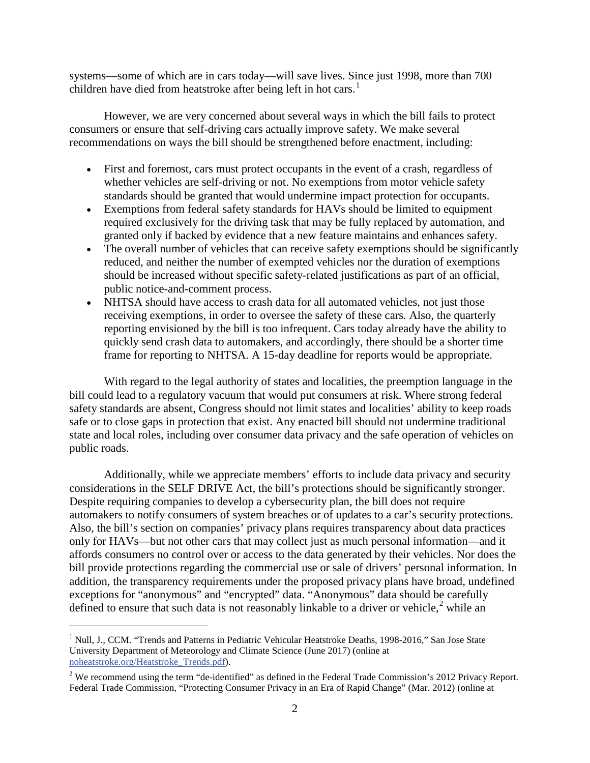systems—some of which are in cars today—will save lives. Since just 1998, more than 700 children have died from heatstroke after being left in hot cars.<sup>[1](#page-1-0)</sup>

However, we are very concerned about several ways in which the bill fails to protect consumers or ensure that self-driving cars actually improve safety. We make several recommendations on ways the bill should be strengthened before enactment, including:

- First and foremost, cars must protect occupants in the event of a crash, regardless of whether vehicles are self-driving or not. No exemptions from motor vehicle safety standards should be granted that would undermine impact protection for occupants.
- Exemptions from federal safety standards for HAVs should be limited to equipment required exclusively for the driving task that may be fully replaced by automation, and granted only if backed by evidence that a new feature maintains and enhances safety.
- The overall number of vehicles that can receive safety exemptions should be significantly reduced, and neither the number of exempted vehicles nor the duration of exemptions should be increased without specific safety-related justifications as part of an official, public notice-and-comment process.
- NHTSA should have access to crash data for all automated vehicles, not just those receiving exemptions, in order to oversee the safety of these cars. Also, the quarterly reporting envisioned by the bill is too infrequent. Cars today already have the ability to quickly send crash data to automakers, and accordingly, there should be a shorter time frame for reporting to NHTSA. A 15-day deadline for reports would be appropriate.

With regard to the legal authority of states and localities, the preemption language in the bill could lead to a regulatory vacuum that would put consumers at risk. Where strong federal safety standards are absent, Congress should not limit states and localities' ability to keep roads safe or to close gaps in protection that exist. Any enacted bill should not undermine traditional state and local roles, including over consumer data privacy and the safe operation of vehicles on public roads.

Additionally, while we appreciate members' efforts to include data privacy and security considerations in the SELF DRIVE Act, the bill's protections should be significantly stronger. Despite requiring companies to develop a cybersecurity plan, the bill does not require automakers to notify consumers of system breaches or of updates to a car's security protections. Also, the bill's section on companies' privacy plans requires transparency about data practices only for HAVs—but not other cars that may collect just as much personal information—and it affords consumers no control over or access to the data generated by their vehicles. Nor does the bill provide protections regarding the commercial use or sale of drivers' personal information. In addition, the transparency requirements under the proposed privacy plans have broad, undefined exceptions for "anonymous" and "encrypted" data. "Anonymous" data should be carefully defined to ensure that such data is not reasonably linkable to a driver or vehicle,<sup>[2](#page-1-1)</sup> while an

 $\ddot{\phantom{a}}$ 

<span id="page-1-0"></span><sup>&</sup>lt;sup>1</sup> Null, J., CCM. "Trends and Patterns in Pediatric Vehicular Heatstroke Deaths, 1998-2016," San Jose State University Department of Meteorology and Climate Science (June 2017) (online at [noheatstroke.org/Heatstroke\\_Trends.pdf\)](http://noheatstroke.org/Heatstroke_Trends.pdf).

<span id="page-1-1"></span><sup>&</sup>lt;sup>2</sup> We recommend using the term "de-identified" as defined in the Federal Trade Commission's 2012 Privacy Report. Federal Trade Commission, "Protecting Consumer Privacy in an Era of Rapid Change" (Mar. 2012) (online at